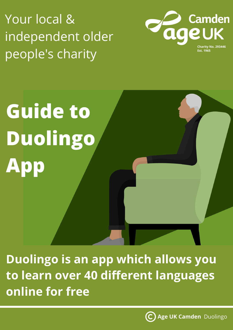Your local & independent older people's charity



## **Guide to Duolingo App**

**Duolingo is an app which allows you to learn over 40 different languages online for free**

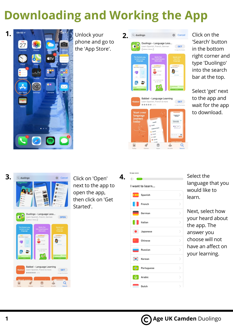## **Downloading and Working the App**



phone and go to the 'App Store'.



Click on the 'Search' button in the bottom right corner and type 'Duolingo' into the search bar at the top.

Select 'get' next to the app and wait for the app to download.

| З. | Q duolingo                                   |                                                                         | Cancel                         | Click on 'Open'<br>next to the app to<br>open the app,<br>then click on 'Get<br>Started'. |  |
|----|----------------------------------------------|-------------------------------------------------------------------------|--------------------------------|-------------------------------------------------------------------------------------------|--|
|    | [ Lébary' Choice ]<br>The fostest way        | Duolingo - Language Less<br>Learn Spanish, French, German<br>Quick, fun | <b>OPEN</b><br>Speak and       |                                                                                           |  |
|    | to learn a new<br>longuage<br>and Management | hite-sized lessons<br>that work<br>sent on the                          | <b>hearths</b><br>language     |                                                                                           |  |
|    | +Babbel<br>***** 47%                         | Babbel - Language Learning<br>Learn Spanish, French & more              | <b>GET</b><br>In-App Purchases |                                                                                           |  |
|    | <b>Start vou</b>                             |                                                                         |                                |                                                                                           |  |

| ■ App Store            |                  |                              |
|------------------------|------------------|------------------------------|
| $\leftarrow$ $\bullet$ |                  |                              |
|                        | I want to learn  |                              |
|                        | <b>B</b> Spanish | 5                            |
|                        | French           | 5                            |
| —                      | German           | ⋗                            |
|                        | Italian          | >                            |
| $\bullet$              | Japanese         | ⋋                            |
| ю.                     | Chinese          | $\mathcal{P}$                |
|                        | Russian          | ↘                            |
| $\bullet$ .            | Korean           | ⋟                            |
| $\bullet$              | Portuguese       | $\left\langle \right\rangle$ |
| ⊙                      | Arabic           | $\mathcal{P}$                |
|                        | Dutch            | 5                            |

Select the language that you would like to learn.

Q

Next, select how your heard about the app. The answer you choose will not have an affect on your learning.

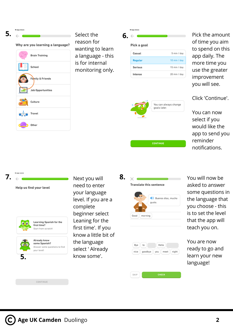4 App Stor

| Why are you learning a language? |
|----------------------------------|
| <b>Brain Training</b>            |
| School                           |
| Family & Friends                 |
| <b>Job Opportunities</b>         |
| Culture                          |

Travel

Other

Select the reason for wanting to learn a language - this is for internal monitoring only.  $\overline{\mathbf{5.}} \leftarrow \overline{\mathbf{6.}} \leftarrow \overline{\mathbf{6.}}$ 

| J |             |              |
|---|-------------|--------------|
|   | Pick a goal |              |
|   | Casual      | 5 min / day  |
|   | Regular     | 10 min / day |
|   | Serious     | 15 min / day |
|   | Intense     | 20 min / day |
|   |             |              |



Pick the amount of time you aim to spend on this app daily. The more time you use the greater improvement you will see.

Click 'Continue'.

You can now select if you would like the app to send you reminder notifications.



Help us find your level



need to enter your language level. If you are a complete beginner select Leaning for the first time'. If you know a little bit of the language select ' Already know some'.

| <b>Translate this sentence</b> |
|--------------------------------|
|                                |
| (1) Buenos días, much          |
| gusto.                         |
|                                |
| Good<br>morning                |
|                                |
|                                |

| Bye  | to      | Hello |      |       |
|------|---------|-------|------|-------|
| nice | goodbye | you   | meet | night |
|      |         |       |      |       |
|      |         |       |      |       |
|      |         |       |      |       |
|      |         |       |      |       |

You will now be asked to answer some questions in the language that you choose - this is to set the level that the app will teach you on.

You are now ready to go and learn your new language!

CONTINUE